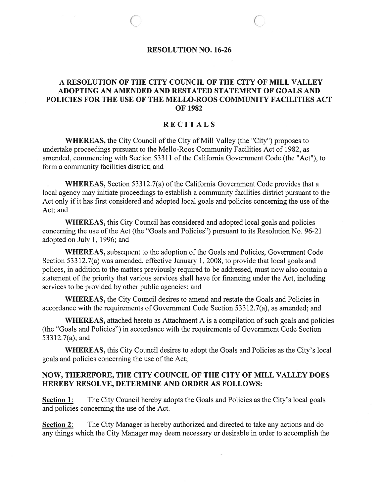#### RESOLUTION NO. 16-26

c

c

# A RESOLUTION OF THE CITY COUNCIL OF THE CITY OF MILL VALLEY ADOPTING AN AMENDED AND RESTATED STATEMENT OF GOALS AND POLICIES FOR THE USE OF THE MELLO-ROOS COMMUNITY FACILITIES ACT OF 1982

#### RECITALS

WHEREAS, the City Council of the City of Mill Valley (the "City") proposes to undertake proceedings pursuan<sup>t</sup> to the Mello-Roos Community Facilities Act of 1982, as amended, commencing with Section 53311 of the California Government Code (the "Act"), to form <sup>a</sup> community facilities district; and

WHEREAS, Section 53312.7(a) of the California Government Code provides that a local agency may initiate proceedings to establish <sup>a</sup> community facilities district pursuan<sup>t</sup> to the Act only if it has first considered and adopted local goals and policies concerning the use of the Act; and

WHEREAS, this City Council has considered and adopted local goals and policies concerning the use of the Act (the "Goals and Policies") pursuant to its Resolution No. 96-21 adopted on July I, 1996; and

WHEREAS, subsequent to the adoption of the Goals and Policies, Government Code Section 53312.7(a) was amended, effective January 1, 2008, to provide that local goals and polices, in addition to the matters previously required to be addressed, must now also contain <sup>a</sup> statement of the priority that various services shall have for financing under the Act, including services to be provided by other public agencies; and

WHEREAS, the City Council desires to amend and restate the Goals and Policies in accordance with the requirements of Government Code Section 53312.7(a), as amended; and

WHEREAS, attached hereto as Attachment A is a compilation of such goals and policies (the "Goals and Policies") in accordance with the requirements of Government Code Section 53312.7(a); and

WHEREAS, this City Council desires to adopt the Goals and Policies as the City's local goals and policies concerning the use of the Act;

#### NOW, THEREFORE, THE CITY COUNCIL OF THE CITY OF MILL VALLEY DOES HEREBY RESOLVE, DETERMINE AND ORDER AS FOLLOWS:

Section 1: The City Council hereby adopts the Goals and Policies as the City's local goals and policies concerning the use of the Act.

Section 2: The City Manager is hereby authorized and directed to take any actions and do any things which the City Manager may deem necessary or desirable in order to accomplish the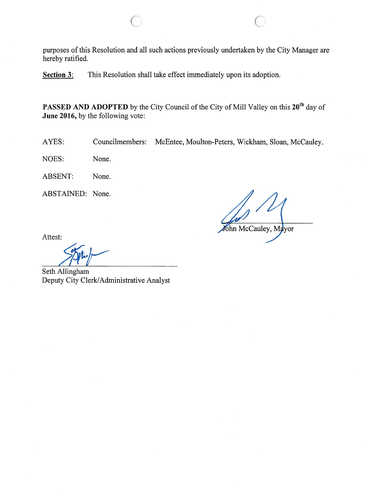purposes of this Resolution and all such actions previously undertaken by the City Manager are hereby ratified.

**Section 3:** This Resolution shall take effect immediately upon its adoption.

 $\subset$ 

**PASSED AND ADOPTED** by the City Council of the City of Mill Valley on this 20<sup>th</sup> day of **June 2016,** by the following vote:

AYES: Councilmembers: McEntee, Moulton-Peters, Wickham, Sloan, McCauley.

NOES: None.

ABSENT: None.

ABSTAINED: None.

John McCauley, Mayor

Attest:

Seth Allingham Deputy City Clerk/Administrative Analyst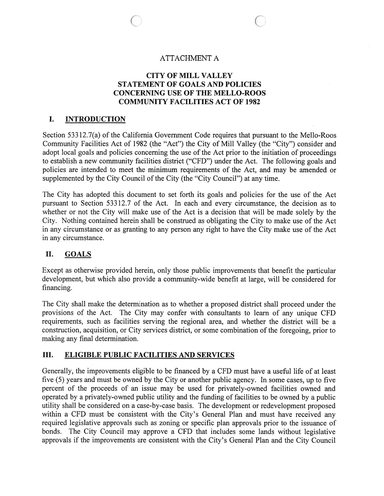#### ATTACHMENT A

# CITY OF MILL VALLEY STATEMENT OF GOALS AND POLICIES CONCERNING USE OF THE MELLO-ROOS COMMUNITY FACILITIES ACT OF 1982

#### I. INTRODUCTION

Section 53312.7(a) of the California Government Code requires that pursuan<sup>t</sup> to the Mello-Roos Community Facilities Act of 1982 (the "Act") the City of Mill Valley (the "City") consider and adopt local goals and policies concerning the use of the Act prior to the initiation of proceedings to establish <sup>a</sup> new community facilities district ("CFD") under the Act. The following goals and policies are intended to meet the minimum requirements of the Act, and may be amended or supplemented by the City Council of the City (the "City Council") at any time.

The City has adopted this document to set forth its goals and policies for the use of the Act pursuan<sup>t</sup> to Section 53312.7 of the Act. In each and every circumstance, the decision as to whether or not the City will make use of the Act is <sup>a</sup> decision that will be made solely by the City. Nothing contained herein shall be construed as obligating the City to make use of the Act in any circumstance or as granting to any person any right to have the City make use of the Act in any circumstance.

#### II. GOALS

Except as otherwise provided herein, only those public improvements that benefit the particular development, but which also provide <sup>a</sup> community-wide benefit at large, will be considered for financing.

The City shall make the determination as to whether <sup>a</sup> proposed district shall proceed under the provisions of the Act. The City may confer with consultants to learn of any unique CFD requirements, such as facilities serving the regional area, and whether the district will be <sup>a</sup> construction, acquisition, or City services district, or some combination of the foregoing, prior to making any final determination.

#### III. ELIGIBLE PUBLIC FACILITIES AND SERVICES

Generally, the improvements eligible to be financed by <sup>a</sup> CFD must have <sup>a</sup> useful life of at least five (5) years and must be owned by the City or another public agency. In some cases, up to five percen<sup>t</sup> of the proceeds of an issue may be used for privately-owned facilities owned and operated by <sup>a</sup> privately-owned public utility and the funding of facilities to be owned by <sup>a</sup> public utility shall be considered on <sup>a</sup> case-by-case basis. The development or redevelopment proposed within <sup>a</sup> CFD must be consistent with the City's General Plan and must have received any required legislative approvals such as zoning or specific plan approvals prior to the issuance of bonds. The City Council may approve <sup>a</sup> CFD that includes some lands without legislative approvals if the improvements are consistent with the City's General Plan and the City Council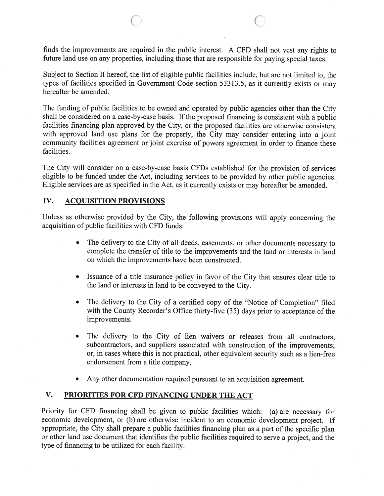finds the improvements are required in the public interest. A CFD shall not vest any rights to future land use on any properties, including those that are responsible for paying special taxes.

c

Subject to Section II hereof, the list of eligible public facilities include, but are not limited to, the types of facilities specified in Government Code section 53313.5, as it currently exists or may hereafter be amended.

The funding of public facilities to be owned and operated by public agencies other than the City shall be considered on a case-by-case basis. If the proposed financing is consistent with a public facilities financing plan approved by the City, or the proposed facilities are otherwise consistent with approved land use plans for the property, the City may consider entering into <sup>a</sup> joint community facilities agreemen<sup>t</sup> or joint exercise of powers agreemen<sup>t</sup> in order to finance these facilities.

The City will consider on <sup>a</sup> case-by-case basis CFDs established for the provision of services eligible to be funded under the Act, including services to be provided by other public agencies. Eligible services are as specified in the Act, as it currently exists or may hereafter be amended.

#### IV. ACQUISITION PROVISIONS

Unless as otherwise provided by the City, the following provisions will apply concerning the acquisition of public facilities with CFD funds:

- The delivery to the City of all deeds, easements, or other documents necessary to complete the transfer of title to the improvements and the land or interests in land on which the improvements have been constructed.
- $\bullet$  Issuance of <sup>a</sup> title insurance policy in favor of the City that ensures clear title to the land or interests in land to be conveyed to the City.
- • The delivery to the City of <sup>a</sup> certified copy of the "Notice of Completion" filed with the County Recorder's Office thirty-five (35) days prior to acceptance of the improvements.
- $\bullet$  The delivery to the City of lien waivers or releases from all contractors, subcontractors, and suppliers associated with construction of the improvements; or, in cases where this is not practical, other equivalent security such as <sup>a</sup> lien-free endorsement from <sup>a</sup> title company.
- Any other documentation required pursuan<sup>t</sup> to an acquisition agreement.

#### V. PRIORITIES FOR CFD FINANCING UNDER THE ACT

Priority for CFD financing shall be given to public facilities which: (a) are necessary for economic development, or (b) are otherwise incident to an economic development project. If appropriate, the City shall prepare <sup>a</sup> public facilities financing plan as <sup>a</sup> par<sup>t</sup> of the specific plan or other land use document that identifies the public facilities required to serve <sup>a</sup> project, and the type of financing to be utilized for each facility.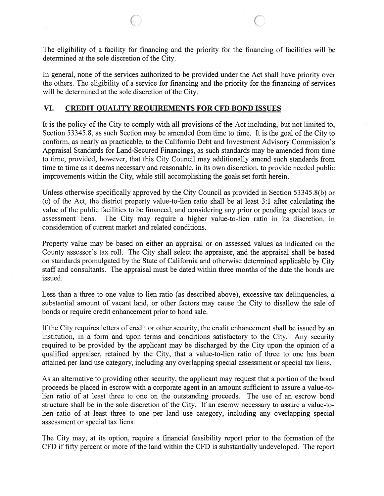The eligibility of <sup>a</sup> facility for financing and the priority for the financing of facilities will be determined at the sole discretion of the City.

In general, none of the services authorized to be provided under the Act shall have priority over the others. The eligibility of <sup>a</sup> service for financing and the priority for the financing of services will be determined at the sole discretion of the City.

#### **VI. CREDIT QUALITY REQUIREMENTS FOR CFD BOND ISSUES**

c

It is the policy of the City to comply with all provisions of the Act including, but not limited to, Section 53345.8, as such Section may be amended from time to time. It is the goal of the City to conform, as nearly as practicable, to the California Debt and Investment Advisory Commission's Appraisal Standards for Land-Secured Financings, as such standards may be amended from time to time, provided, however, that this City Council may additionally amend such standards from time to time as it deems necessary and reasonable, in its own discretion, to provide needed public improvements within the City, while still accomplishing the goals set forth herein.

Unless otherwise specifically approved by the City Council as provided in Section 53345.8(b) or (c) of the Act, the district property value-to-lien ratio shall be at least 3: 1 after calculating the value of the public facilities to be financed, and considering any prior or pending special taxes or assessment liens. The City may require <sup>a</sup> higher value-to-lien ratio in its discretion, in consideration of current market and related conditions.

Property value may be based on either an appraisal or on assessed values as indicated on the County assessor's tax roll. The City shall select the appraiser, and the appraisal shall be based on standards promulgated by the State of California and otherwise determined applicable by City staff and consultants. The appraisal must be dated within three months of the date the bonds are issued.

Less than <sup>a</sup> three to one value to lien ratio (as described above), excessive tax delinquencies, <sup>a</sup> substantial amount of vacant land, or other factors may cause the City to disallow the sale of bonds or require credit enhancement prior to bond sale.

Ifthe City requires letters of credit or other security, the credit enhancement shall be issued by an institution, in <sup>a</sup> form and upon terms and conditions satisfactory to the City. Any security required to be provided by the applicant may be discharged by the City upon the opinion of <sup>a</sup> qualified appraiser, retained by the City, that <sup>a</sup> value-to-lien ratio of three to one has been attained per land use category, including any overlapping special assessment or special tax liens.

As an alternative to providing other security, the applicant may request that a portion of the bond proceeds be placed in escrow with <sup>a</sup> corporate agen<sup>t</sup> in an amount sufficient to assure <sup>a</sup> value-tolien ratio of at least three to one on the outstanding proceeds. The use of an escrow bond structure shall be in the sole discretion of the City. If an escrow necessary to assure <sup>a</sup> value-tolien ratio of at least three to one per land use category, including any overlapping special assessment or special tax liens.

The City may, at its option, require <sup>a</sup> financial feasibility repor<sup>t</sup> prior to the formation of the CFD if fifty percent or more of the land within the CFD is substantially undeveloped. The report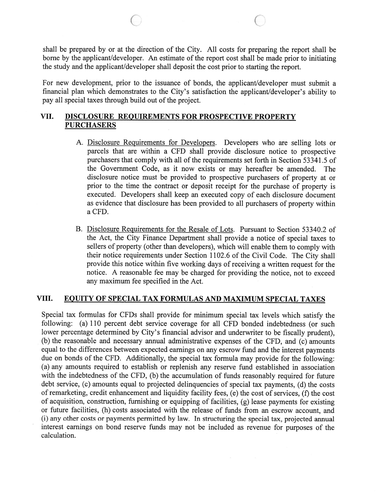shall be prepared by or at the direction of the City. All costs for preparing the repor<sup>t</sup> shall be borne by the applicant/developer. An estimate of the report cost shall be made prior to initiating the study and the applicant/developer shall deposit the cost prior to starting the report.

For new development, prior to the issuance of bonds, the applicant/developer must submit <sup>a</sup> financial plan which demonstrates to the City's satisfaction the applicant/developer's ability to pay all special taxes through build out of the project.

# VII. DISCLOSURE REQUIREMENTS FOR PROSPECTIVE PROPERTY **PURCHASERS**

c

- A. Disclosure Requirements for Developers. Developers who are selling lots or parcels that are within <sup>a</sup> CFD shall provide disclosure notice to prospective purchasers that comply with all of the requirements set forth in Section 53341.5 of the Government Code, as it now exists or may hereafter be amended. The disclosure notice must be provided to prospective purchasers of property at or prior to the time the contract or deposit receipt for the purchase of property is executed. Developers shall keep an executed copy of each disclosure document as evidence that disclosure has been provided to all purchasers of property within aCFD.
- B. Disclosure Requirements for the Resale of Lots. Pursuant to Section 53340.2 of the Act, the City Finance Department shall provide <sup>a</sup> notice of special taxes to sellers of property (other than developers), which will enable them to comply with their notice requirements under Section 1102.6 of the Civil Code. The City shall provide this notice within five working days of receiving a written request for the notice. A reasonable fee may be charged for providing the notice, not to exceed any maximum fee specified in the Act.

## VIII. EQUITY OF SPECIAL TAX FORMULAS AND MAXIMUM SPECIAL TAXES

Special tax formulas for CFDs shall provide for minimum special tax levels which satisfy the following: (a) 110 percen<sup>t</sup> debt service coverage for all CFD bonded indebtedness (or such lower percentage determined by City's financial advisor and underwriter to be fiscally prudent), (b) the reasonable and necessary annual administrative expenses of the CFD, and (c) amounts equal to the differences between expected earnings on any escrow fund and the interest payments due on bonds of the CFD. Additionally, the special tax formula may provide for the following: (a) any amounts required to establish or replenish any reserve fund established in association with the indebtedness of the CFD, (b) the accumulation of funds reasonably required for future debt service, (c) amounts equal to projected delinquencies of special tax payments, (d) the costs of remarketing, credit enhancement and liquidity facility fees, (e) the cost of services, (f) the cost of acquisition, construction, furnishing or equipping of facilities, (g) lease payments for existing or future facilities, (h) costs associated with the release of funds from an escrow account, and (i) any other costs or payments permitted by law. In structuring the special tax, projected annual interest earnings on bond reserve funds may not be included as revenue for purposes of the calculation.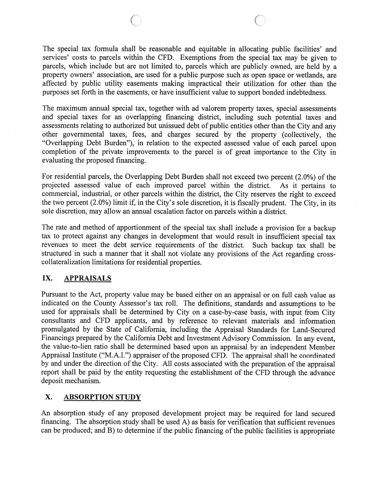The special tax formula shall be reasonable and equitable in allocating public facilities' and services' costs to parcels within the CFD. Exemptions from the special tax may be given to parcels, which include but are not limited to, parcels which are publicly owned, are held by <sup>a</sup> property owners' association, are used for <sup>a</sup> public purpose such as open space or wetlands, are affected by public utility easements making impractical their utilization for other than the purposes set forth in the easements, or have insufficient value to suppor<sup>t</sup> bonded indebtedness.

 $\subset$ 

The maximum annual special tax, together with ad valorem property taxes, special assessments and special taxes for an overlapping financing district, including such potential taxes and assessments relating to authorized but unissued debt of public entities other than the City and any other governmental taxes, fees, and charges secured by the property (collectively, the "Overlapping Debt Burden"), in relation to the expected assessed value of each parcel upon completion of the private improvements to the parcel is of grea<sup>t</sup> importance to the City in evaluating the proposed financing.

For residential parcels, the Overlapping Debt Burden shall not exceed two percent (2.0%) of the projected assessed value of each improved parcel within the district. As it pertains to commercial, industrial, or other parcels within the district, the City reserves the right to exceed the two percen<sup>t</sup> (2.0%) limit if, in the City's sole discretion, it is fiscally prudent. The City, in its sole discretion, may allow an annual escalation factor on parcels within <sup>a</sup> district.

The rate and method of apportionment of the special tax shall include <sup>a</sup> provision for <sup>a</sup> backup tax to protect against any changes in development that would result in insufficient special tax revenues to meet the debt service requirements of the district. Such backup tax shall be structured in such <sup>a</sup> manner that it shall not violate any provisions of the Act regarding crosscollateralization limitations for residential properties.

## IX. APPRAISALS

Pursuant to the Act, property value may be based either on an appraisal or on full cash value as indicated on the County Assessor's tax roll. The definitions, standards and assumptions to be used for appraisals shall be determined by City on <sup>a</sup> case-by-case basis, with input from City consultants and CFD applicants, and by reference to relevant materials and information promulgated by the State of California, including the Appraisal Standards for Land-Secured Financings prepared by the California Debt and Investment Advisory Commission. In any event, the value-to-lien ratio shall be determined based upon an appraisal by an independent Member Appraisal Institute ("M.A.I.") appraiser of the proposed CFD. The appraisal shall be coordinated by and under the direction of the City. All costs associated with the preparation of the appraisal repor<sup>t</sup> shall be paid by the entity requesting the establishment of the CFD through the advance deposit mechanism.

## X. ABSORPTION STUDY

An absorption study of any proposed development project may be required for land secured financing. The absorption study shall be used A) as basis for verification that sufficient revenues can be produced; and B) to determine if the public financing of the public facilities is appropriate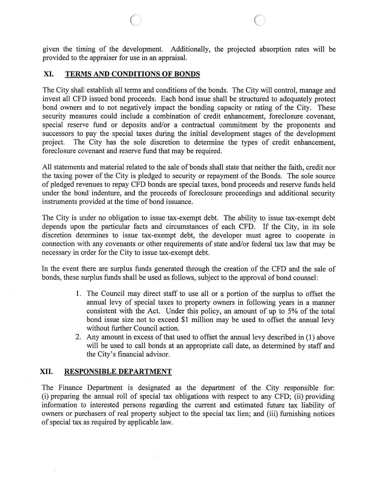given the timing of the development. Additionally, the projected absorption rates will be provided to the appraiser for use in an appraisal.

#### XI. TERMS AND CONDITIONS OF BONDS

 $\big($ 

The City shall establish all terms and conditions of the bonds. The City will control, manage and invest all CFD issued bond proceeds. Each bond issue shall be structured to adequately protect bond owners and to not negatively impact the bonding capacity or rating of the City. These security measures could include <sup>a</sup> combination of credit enhancement, foreclosure covenant, special reserve fund or deposits and/or <sup>a</sup> contractual commitment by the proponents and successors to pay the special taxes during the initial development stages of the development project. The City has the sole discretion to determine the types of credit enhancement, foreclosure covenant and reserve fund that may be required.

All statements and material related to the sale of bonds shall state that neither the faith, credit nor the taxing power of the City is pledged to security or repaymen<sup>t</sup> of the Bonds. The sole source of pledged revenues to repay CFD bonds are special taxes, bond proceeds and reserve funds held under the bond indenture, and the proceeds of foreclosure proceedings and additional security instruments provided at the time of bond issuance.

The City is under no obligation to issue tax-exempt debt. The ability to issue tax-exempt debt depends upon the particular facts and circumstances of each CFD. If the City, in its sole discretion determines to issue tax-exempt debt, the developer must agree to cooperate in connection with any covenants or other requirements of state and/or federal tax law that may be necessary in order for the City to issue tax-exempt debt.

In the event there are surplus funds generated through the creation of the CFD and the sale of bonds, these surplus funds shall be used as follows, subject to the approval of bond counsel:

- 1. The Council may direct staff to use all or <sup>a</sup> portion of the surplus to offset the annual levy of special taxes to property owners in following years in <sup>a</sup> manner consistent with the Act. Under this policy, an amount of up to 5% of the total bond issue size not to exceed \$1 million may be used to offset the annual levy without further Council action.
- 2. Any amount in excess of that used to offset the annual levy described in (1) above will be used to call bonds at an appropriate call date, as determined by staff and the City's financial advisor.

### XII. RESPONSIBLE DEPARTMENT

The Finance Department is designated as the department of the City responsible for: (i) preparing the annual roll of special tax obligations with respec<sup>t</sup> to any CFD; (ii) providing information to interested persons regarding the current and estimated future tax liability of owners or purchasers of real property subject to the special tax lien; and (iii) furnishing notices of special tax as required by applicable law.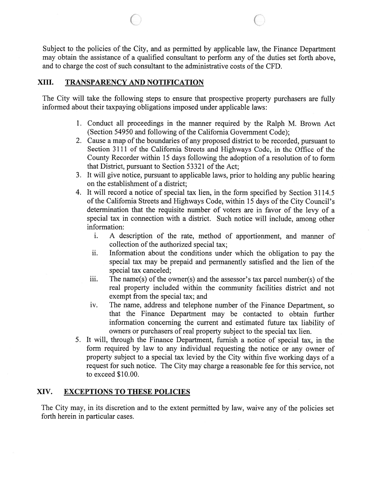Subject to the policies of the City, and as permitted by applicable law, the Finance Department may obtain the assistance of <sup>a</sup> qualified consultant to perform any of the duties set forth above, and to charge the cost of such consultant to the administrative costs of the CFD.

 $\circ$  c

# XIII. TRANSPARENCY AND NOTIFICATION

The City will take the following steps to ensure that prospective property purchasers are fully informed about their taxpaying obligations imposed under applicable laws:

- 1. Conduct all proceedings in the manner required by the Ralph M. Brown Act (Section 54950 and following of the California Government Code);
- 2. Cause a map of the boundaries of any proposed district to be recorded, pursuant to Section 3111 of the California Streets and Highways Code, in the Office of the County Recorder within 15 days following the adoption of <sup>a</sup> resolution of to form that District, pursuant to Section 53321 of the Act;
- 3. It will give notice, pursuan<sup>t</sup> to applicable laws, prior to holding any public hearing on the establishment of <sup>a</sup> district;
- 4. It will record <sup>a</sup> notice of special tax lien, in the form specified by Section 3114.5 of the California Streets and Highways Code, within 15 days of the City Council's determination that the requisite number of voters are in favor of the levy of <sup>a</sup> special tax in connection with <sup>a</sup> district. Such notice will include, among other information:
	- i. A description of the rate, method of apportionment, and manner of collection of the authorized special tax;
	- ii. Information about the conditions under which the obligation to pay the special tax may be prepaid and permanently satisfied and the lien of the special tax canceled;
	- iii. The name(s) of the owner(s) and the assessor's tax parcel number(s) of the real property included within the community facilities district and not exemp<sup>t</sup> from the special tax; and
	- iv. The name, address and telephone number of the Finance Department, so that the Finance Department may be contacted to obtain further information concerning the current and estimated future tax liability of owners or purchasers of real property subject to the special tax lien.
- 5. It will, through the Finance Department, furnish a notice of special tax, in the form required by law to any individual requesting the notice or any owner of property subject to <sup>a</sup> special tax levied by the City within five working days of <sup>a</sup> reques<sup>t</sup> for such notice. The City may charge <sup>a</sup> reasonable fee for this service, not to exceed \$10.00.

#### XIV. EXCEPTIONS TO THESE POLICIES

The City may, in its discretion and to the extent permitted by law, waive any of the policies set forth herein in particular cases.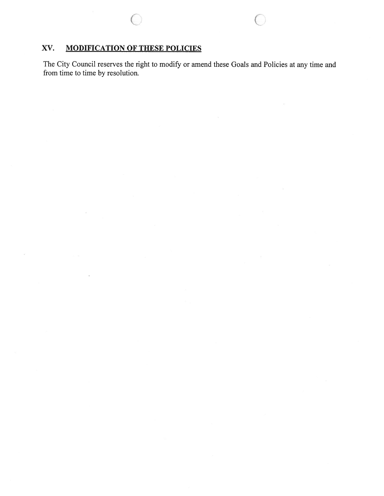# **XV. MODIFICATION OF THESE POLICIES**

The City Council reserves the right to modify or amend these Goals and Policies at any time and from time to time by resolution.